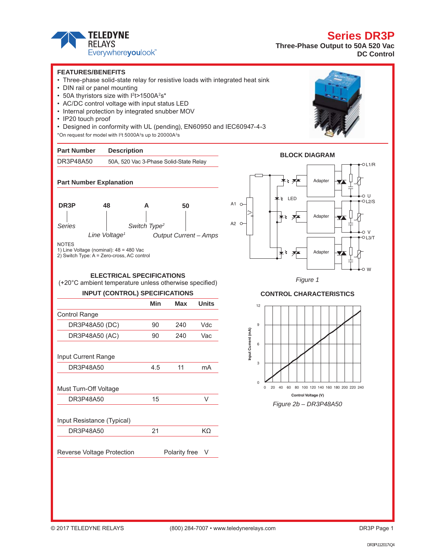# **Series DR3P**



**Three-Phase Output to 50A 520 Vac DC Control**

#### **FEATURES/BENEFITS**

- Three-phase solid-state relay for resistive loads with integrated heat sink
- DIN rail or panel mounting
- 50A thyristors size with I<sup>2</sup>t>1500A<sup>2</sup>s\*
- AC/DC control voltage with input status LED
- Internal protection by integrated snubber MOV
- IP20 touch proof
- Designed in conformity with UL (pending), EN60950 and IEC60947-4-3
- \*On request for model with I2t 5000A2s up to 20000A2s







**ELECTRICAL SPECIFICATIONS** (+20°C ambient temperature unless otherwise specified)



|                                   | Min                | Max | <b>Units</b> |
|-----------------------------------|--------------------|-----|--------------|
| <b>Control Range</b>              |                    |     |              |
| DR3P48A50 (DC)                    | 90                 | 240 | Vdc          |
| DR3P48A50 (AC)                    | 90                 | 240 | Vac          |
| Input Current Range               |                    |     |              |
| DR3P48A50                         | 4.5                | 11  | mA           |
| Must Turn-Off Voltage             |                    |     |              |
| DR3P48A50                         | 15                 |     | V            |
| Input Resistance (Typical)        |                    |     |              |
| DR3P48A50                         | 21                 |     | KΩ           |
| <b>Reverse Voltage Protection</b> | Polarity free<br>V |     |              |



#### **CONTROL CHARACTERISTICS**



*Figure 2b – DR3P48A50*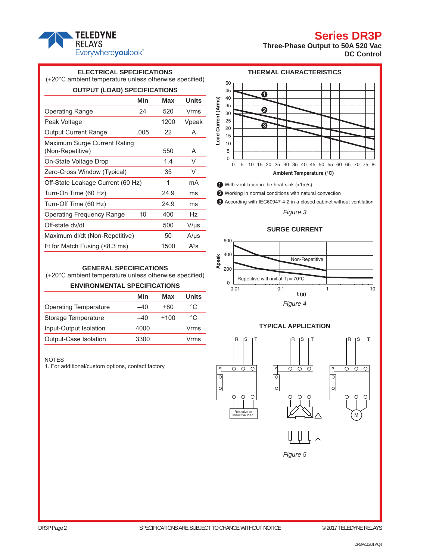## **Series DR3P**



**Three-Phase Output to 50A 520 Vac DC Control**

### **ELECTRICAL SPECIFICATIONS** (+20°C ambient temperature unless otherwise specified)

| <b>OUTPUT (LOAD) SPECIFICATIONS</b>              |      |      |              |  |  |
|--------------------------------------------------|------|------|--------------|--|--|
|                                                  | Min  | Max  | <b>Units</b> |  |  |
| <b>Operating Range</b>                           | 24   | 520  | Vrms         |  |  |
| Peak Voltage                                     |      | 1200 | Vpeak        |  |  |
| <b>Output Current Range</b>                      | .005 | 22   | A            |  |  |
| Maximum Surge Current Rating<br>(Non-Repetitive) |      | 550  | A            |  |  |
| On-State Voltage Drop                            |      | 1.4  | V            |  |  |
| Zero-Cross Window (Typical)                      |      | 35   | V            |  |  |
| Off-State Leakage Current (60 Hz)                |      | 1    | mA           |  |  |
| Turn-On Time (60 Hz)                             |      | 24.9 | ms           |  |  |
| Turn-Off Time (60 Hz)                            |      | 24.9 | ms           |  |  |
| Operating Frequency Range                        | 10   | 400  | Hz           |  |  |
| Off-state dv/dt                                  |      | 500  | V/µs         |  |  |
| Maximum di/dt (Non-Repetitive)                   |      | 50   | $A/\mu s$    |  |  |
| $l2$ t for Match Fusing (<8.3 ms)                |      | 1500 | $A^2S$       |  |  |

### **GENERAL SPECIFICATIONS**

(+20°C ambient temperature unless otherwise specified)

#### **ENVIRONMENTAL SPECIFICATIONS**

|                              | Min  | Max    | Units |
|------------------------------|------|--------|-------|
| <b>Operating Temperature</b> | -40  | $+80$  | °C.   |
| Storage Temperature          | –40  | $+100$ | °C    |
| Input-Output Isolation       | 4000 |        | Vrms  |
| Output-Case Isolation        | 3300 |        | Vrms  |

#### NOTES

1. For additional/custom options, contact factory.



With ventilation in the heat sink (>1m/s)

Working in normal conditions with natural convection

According with IEC60947-4-2 in a closed cabinet without ventilation

*Figure 3*

#### **SURGE CURRENT**





*Figure 5*